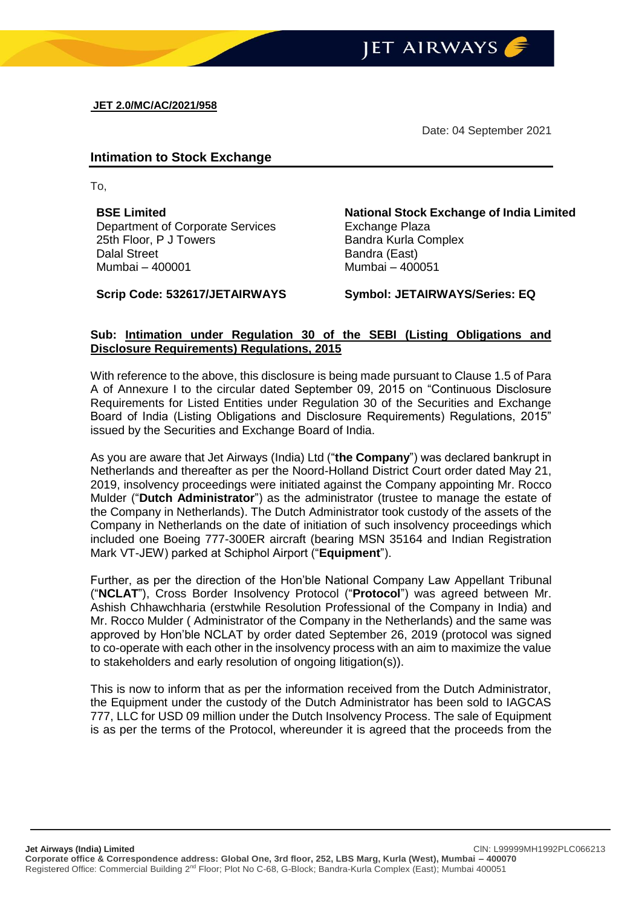

Date: 04 September 2021

## **Intimation to Stock Exchange**

To,

**BSE Limited** Department of Corporate Services 25th Floor, P J Towers Dalal Street Mumbai – 400001

**Scrip Code: 532617/JETAIRWAYS Symbol: JETAIRWAYS/Series: EQ**

**National Stock Exchange of India Limited** Exchange Plaza Bandra Kurla Complex Bandra (East) Mumbai – 400051

## **Sub: Intimation under Regulation 30 of the SEBI (Listing Obligations and Disclosure Requirements) Regulations, 2015**

With reference to the above, this disclosure is being made pursuant to Clause 1.5 of Para A of Annexure I to the circular dated September 09, 2015 on "Continuous Disclosure Requirements for Listed Entities under Regulation 30 of the Securities and Exchange Board of India (Listing Obligations and Disclosure Requirements) Regulations, 2015" issued by the Securities and Exchange Board of India.

As you are aware that Jet Airways (India) Ltd ("**the Company**") was declared bankrupt in Netherlands and thereafter as per the Noord-Holland District Court order dated May 21, 2019, insolvency proceedings were initiated against the Company appointing Mr. Rocco Mulder ("**Dutch Administrator**") as the administrator (trustee to manage the estate of the Company in Netherlands). The Dutch Administrator took custody of the assets of the Company in Netherlands on the date of initiation of such insolvency proceedings which included one Boeing 777-300ER aircraft (bearing MSN 35164 and Indian Registration Mark VT-JEW) parked at Schiphol Airport ("**Equipment**").

Further, as per the direction of the Hon'ble National Company Law Appellant Tribunal ("**NCLAT**"), Cross Border Insolvency Protocol ("**Protocol**") was agreed between Mr. Ashish Chhawchharia (erstwhile Resolution Professional of the Company in India) and Mr. Rocco Mulder ( Administrator of the Company in the Netherlands) and the same was approved by Hon'ble NCLAT by order dated September 26, 2019 (protocol was signed to co-operate with each other in the insolvency process with an aim to maximize the value to stakeholders and early resolution of ongoing litigation(s)).

This is now to inform that as per the information received from the Dutch Administrator, the Equipment under the custody of the Dutch Administrator has been sold to IAGCAS 777, LLC for USD 09 million under the Dutch Insolvency Process. The sale of Equipment is as per the terms of the Protocol, whereunder it is agreed that the proceeds from the